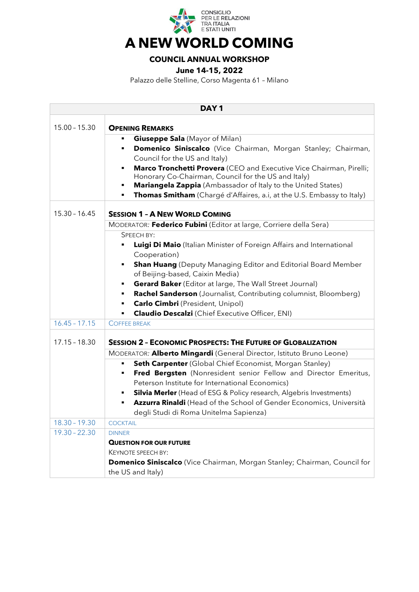

## **A NEW WORLD COMING**

## **COUNCIL ANNUAL WORKSHOP**

**June 14-15, 2022**

Palazzo delle Stelline, Corso Magenta 61 – Milano

| DAY <sub>1</sub> |                                                                                                                                       |  |
|------------------|---------------------------------------------------------------------------------------------------------------------------------------|--|
| $15.00 - 15.30$  | <b>OPENING REMARKS</b>                                                                                                                |  |
|                  | <b>Giuseppe Sala</b> (Mayor of Milan)<br>٠                                                                                            |  |
|                  | Domenico Siniscalco (Vice Chairman, Morgan Stanley; Chairman,                                                                         |  |
|                  | Council for the US and Italy)                                                                                                         |  |
|                  | Marco Tronchetti Provera (CEO and Executive Vice Chairman, Pirelli;<br>٠                                                              |  |
|                  | Honorary Co-Chairman, Council for the US and Italy)<br><b>Mariangela Zappia</b> (Ambassador of Italy to the United States)<br>٠       |  |
|                  | Thomas Smitham (Chargé d'Affaires, a.i, at the U.S. Embassy to Italy)                                                                 |  |
|                  |                                                                                                                                       |  |
| $15.30 - 16.45$  | <b>SESSION 1 - A NEW WORLD COMING</b>                                                                                                 |  |
|                  | MODERATOR: Federico Fubini (Editor at large, Corriere della Sera)                                                                     |  |
|                  | SPEECH BY:                                                                                                                            |  |
|                  | Luigi Di Maio (Italian Minister of Foreign Affairs and International                                                                  |  |
|                  | Cooperation)                                                                                                                          |  |
|                  | <b>Shan Huang</b> (Deputy Managing Editor and Editorial Board Member<br>٠                                                             |  |
|                  | of Beijing-based, Caixin Media)                                                                                                       |  |
|                  | Gerard Baker (Editor at large, The Wall Street Journal)<br>п<br>Rachel Sanderson (Journalist, Contributing columnist, Bloomberg)<br>٠ |  |
|                  | <b>Carlo Cimbri</b> (President, Unipol)<br>٠                                                                                          |  |
|                  | <b>Claudio Descalzi</b> (Chief Executive Officer, ENI)                                                                                |  |
| $16.45 - 17.15$  | <b>COFFEE BREAK</b>                                                                                                                   |  |
| $17.15 - 18.30$  | <b>SESSION 2 - ECONOMIC PROSPECTS: THE FUTURE OF GLOBALIZATION</b>                                                                    |  |
|                  | MODERATOR: Alberto Mingardi (General Director, Istituto Bruno Leone)                                                                  |  |
|                  | Seth Carpenter (Global Chief Economist, Morgan Stanley)<br>٠                                                                          |  |
|                  | Fred Bergsten (Nonresident senior Fellow and Director Emeritus,<br>п                                                                  |  |
|                  | Peterson Institute for International Economics)                                                                                       |  |
|                  | Silvia Merler (Head of ESG & Policy research, Algebris Investments)                                                                   |  |
|                  | Azzurra Rinaldi (Head of the School of Gender Economics, Università<br>п                                                              |  |
|                  | degli Studi di Roma Unitelma Sapienza)                                                                                                |  |
| $18.30 - 19.30$  | <b>COCKTAIL</b>                                                                                                                       |  |
| $19.30 - 22.30$  | <b>DINNER</b>                                                                                                                         |  |
|                  | <b>QUESTION FOR OUR FUTURE</b>                                                                                                        |  |
|                  | KEYNOTE SPEECH BY:<br><b>Domenico Siniscalco</b> (Vice Chairman, Morgan Stanley; Chairman, Council for                                |  |
|                  | the US and Italy)                                                                                                                     |  |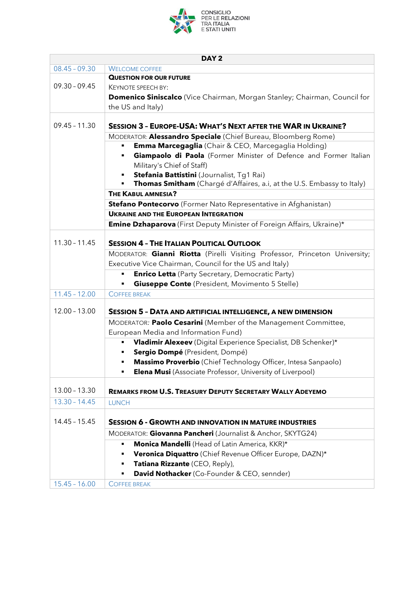

| DAY <sub>2</sub> |                                                                                    |  |
|------------------|------------------------------------------------------------------------------------|--|
| $08.45 - 09.30$  | <b>WELCOME COFFEE</b>                                                              |  |
|                  | <b>QUESTION FOR OUR FUTURE</b>                                                     |  |
| $09.30 - 09.45$  | <b>KEYNOTE SPEECH BY:</b>                                                          |  |
|                  | <b>Domenico Siniscalco</b> (Vice Chairman, Morgan Stanley; Chairman, Council for   |  |
|                  | the US and Italy)                                                                  |  |
|                  |                                                                                    |  |
| $09.45 - 11.30$  | <b>SESSION 3 - EUROPE-USA: WHAT'S NEXT AFTER THE WAR IN UKRAINE?</b>               |  |
|                  | MODERATOR: Alessandro Speciale (Chief Bureau, Bloomberg Rome)                      |  |
|                  | <b>Emma Marcegaglia</b> (Chair & CEO, Marcegaglia Holding)                         |  |
|                  | Giampaolo di Paola (Former Minister of Defence and Former Italian                  |  |
|                  | Military's Chief of Staff)                                                         |  |
|                  | Stefania Battistini (Journalist, Tg1 Rai)                                          |  |
|                  | Thomas Smitham (Chargé d'Affaires, a.i, at the U.S. Embassy to Italy)              |  |
|                  | <b>THE KABUL AMNESIA?</b>                                                          |  |
|                  | Stefano Pontecorvo (Former Nato Representative in Afghanistan)                     |  |
|                  | <b>UKRAINE AND THE EUROPEAN INTEGRATION</b>                                        |  |
|                  | <b>Emine Dzhaparova</b> (First Deputy Minister of Foreign Affairs, Ukraine)*       |  |
| $11.30 - 11.45$  |                                                                                    |  |
|                  | <b>SESSION 4 - THE ITALIAN POLITICAL OUTLOOK</b>                                   |  |
|                  | MODERATOR: Gianni Riotta (Pirelli Visiting Professor, Princeton University;        |  |
|                  | Executive Vice Chairman, Council for the US and Italy)                             |  |
|                  | <b>Enrico Letta</b> (Party Secretary, Democratic Party)                            |  |
|                  | <b>Giuseppe Conte</b> (President, Movimento 5 Stelle)                              |  |
| $11.45 - 12.00$  | <b>COFFEE BREAK</b>                                                                |  |
| $12.00 - 13.00$  | <b>SESSION 5 - DATA AND ARTIFICIAL INTELLIGENCE, A NEW DIMENSION</b>               |  |
|                  | MODERATOR: Paolo Cesarini (Member of the Management Committee,                     |  |
|                  | European Media and Information Fund)                                               |  |
|                  | Vladimir Alexeev (Digital Experience Specialist, DB Schenker)*                     |  |
|                  | Sergio Dompé (President, Dompé)                                                    |  |
|                  | Massimo Proverbio (Chief Technology Officer, Intesa Sanpaolo)                      |  |
|                  | <b>Elena Musi</b> (Associate Professor, University of Liverpool)<br>$\blacksquare$ |  |
|                  |                                                                                    |  |
| $13.00 - 13.30$  | <b>REMARKS FROM U.S. TREASURY DEPUTY SECRETARY WALLY ADEYEMO</b>                   |  |
| $13.30 - 14.45$  | <b>LUNCH</b>                                                                       |  |
|                  |                                                                                    |  |
| $14.45 - 15.45$  | <b>SESSION 6 - GROWTH AND INNOVATION IN MATURE INDUSTRIES</b>                      |  |
|                  | MODERATOR: Giovanna Pancheri (Journalist & Anchor, SKYTG24)                        |  |
|                  | Monica Mandelli (Head of Latin America, KKR)*                                      |  |
|                  | Veronica Diquattro (Chief Revenue Officer Europe, DAZN)*<br>٠                      |  |
|                  | Tatiana Rizzante (CEO, Reply),                                                     |  |
|                  | David Nothacker (Co-Founder & CEO, sennder)                                        |  |
| $15.45 - 16.00$  | <b>COFFEE BREAK</b>                                                                |  |